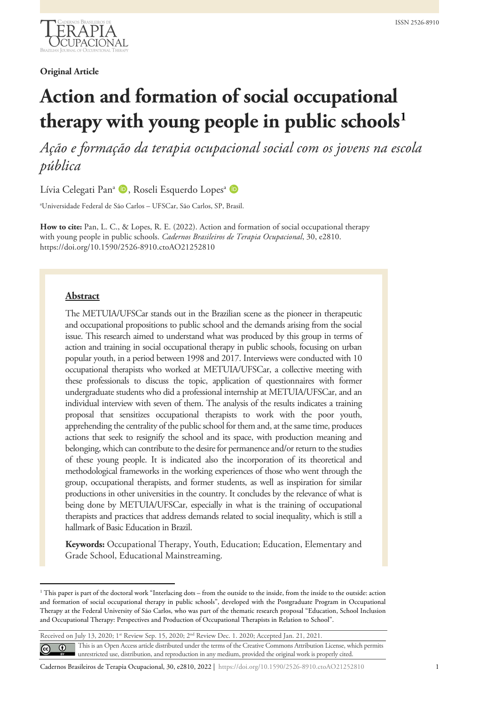

**Original Article**

# **Action and formation of social occupational therapy with young people in public schools[1](#page-0-0)**

*Ação e formação da terapia ocupacional social com os jovens na escola pública*

Lívia Celegati Pan<sup>a</sup> D, Roseli Esquerdo Lopes<sup>a</sup> D

a Universidade Federal de São Carlos – UFSCar, São Carlos, SP, Brasil.

**How to cite:** Pan, L. C., & Lopes, R. E. (2022). Action and formation of social occupational therapy with young people in public schools. *Cadernos Brasileiros de Terapia Ocupacional*, 30, e2810. https://doi.org/10.1590/2526-8910.ctoAO21252810

## **Abstract**

The METUIA/UFSCar stands out in the Brazilian scene as the pioneer in therapeutic and occupational propositions to public school and the demands arising from the social issue. This research aimed to understand what was produced by this group in terms of action and training in social occupational therapy in public schools, focusing on urban popular youth, in a period between 1998 and 2017. Interviews were conducted with 10 occupational therapists who worked at METUIA/UFSCar, a collective meeting with these professionals to discuss the topic, application of questionnaires with former undergraduate students who did a professional internship at METUIA/UFSCar, and an individual interview with seven of them. The analysis of the results indicates a training proposal that sensitizes occupational therapists to work with the poor youth, apprehending the centrality of the public school for them and, at the same time, produces actions that seek to resignify the school and its space, with production meaning and belonging, which can contribute to the desire for permanence and/or return to the studies of these young people. It is indicated also the incorporation of its theoretical and methodological frameworks in the working experiences of those who went through the group, occupational therapists, and former students, as well as inspiration for similar productions in other universities in the country. It concludes by the relevance of what is being done by METUIA/UFSCar, especially in what is the training of occupational therapists and practices that address demands related to social inequality, which is still a hallmark of Basic Education in Brazil.

**Keywords:** Occupational Therapy, Youth, Education; Education, Elementary and Grade School, Educational Mainstreaming.

Received on July 13, 2020; 1st Review Sep. 15, 2020; 2nd Review Dec. 1. 2020; Accepted Jan. 21, 2021.

This is an Open Access article distributed under the terms of the Creative Commons Attribution License, which permits  $\odot$  $\left($ unrestricted use, distribution, and reproduction in any medium, provided the original work is properly cited.

Cadernos Brasileiros de Terapia Ocupacional, 30, e2810, 2022 | https://doi.org/10.1590/2526-8910.ctoAO21252810 1

<span id="page-0-0"></span><sup>&</sup>lt;sup>1</sup> This paper is part of the doctoral work "Interlacing dots – from the outside to the inside, from the inside to the outside: action and formation of social occupational therapy in public schools", developed with the Postgraduate Program in Occupational Therapy at the Federal University of São Carlos, who was part of the thematic research proposal "Education, School Inclusion and Occupational Therapy: Perspectives and Production of Occupational Therapists in Relation to School".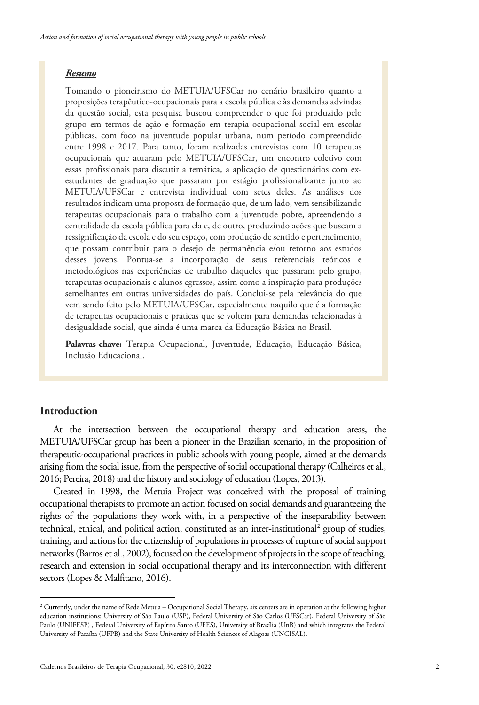## *Resumo*

Tomando o pioneirismo do METUIA/UFSCar no cenário brasileiro quanto a proposições terapêutico-ocupacionais para a escola pública e às demandas advindas da questão social, esta pesquisa buscou compreender o que foi produzido pelo grupo em termos de ação e formação em terapia ocupacional social em escolas públicas, com foco na juventude popular urbana, num período compreendido entre 1998 e 2017. Para tanto, foram realizadas entrevistas com 10 terapeutas ocupacionais que atuaram pelo METUIA/UFSCar, um encontro coletivo com essas profissionais para discutir a temática, a aplicação de questionários com exestudantes de graduação que passaram por estágio profissionalizante junto ao METUIA/UFSCar e entrevista individual com setes deles. As análises dos resultados indicam uma proposta de formação que, de um lado, vem sensibilizando terapeutas ocupacionais para o trabalho com a juventude pobre, apreendendo a centralidade da escola pública para ela e, de outro, produzindo ações que buscam a ressignificação da escola e do seu espaço, com produção de sentido e pertencimento, que possam contribuir para o desejo de permanência e/ou retorno aos estudos desses jovens. Pontua-se a incorporação de seus referenciais teóricos e metodológicos nas experiências de trabalho daqueles que passaram pelo grupo, terapeutas ocupacionais e alunos egressos, assim como a inspiração para produções semelhantes em outras universidades do país. Conclui-se pela relevância do que vem sendo feito pelo METUIA/UFSCar, especialmente naquilo que é a formação de terapeutas ocupacionais e práticas que se voltem para demandas relacionadas à desigualdade social, que ainda é uma marca da Educação Básica no Brasil.

**Palavras-chave:** Terapia Ocupacional, Juventude, Educação, Educação Básica, Inclusão Educacional.

# **Introduction**

At the intersection between the occupational therapy and education areas, the METUIA/UFSCar group has been a pioneer in the Brazilian scenario, in the proposition of therapeutic-occupational practices in public schools with young people, aimed at the demands arising from the social issue, from the perspective of social occupational therapy (Calheiros et al., 2016; Pereira, 2018) and the history and sociology of education (Lopes, 2013).

Created in 1998, the Metuia Project was conceived with the proposal of training occupational therapists to promote an action focused on social demands and guaranteeing the rights of the populations they work with, in a perspective of the inseparability between technical, ethical, and political action, constituted as an inter-institutional<sup>[2](#page-1-0)</sup> group of studies, training, and actions for the citizenship of populations in processes of rupture of social support networks (Barros et al., 2002), focused on the development of projects in the scope of teaching, research and extension in social occupational therapy and its interconnection with different sectors (Lopes & Malfitano, 2016).

<span id="page-1-0"></span><sup>&</sup>lt;sup>2</sup> Currently, under the name of Rede Metuia – Occupational Social Therapy, six centers are in operation at the following higher education institutions: University of São Paulo (USP), Federal University of São Carlos (UFSCar), Federal University of São Paulo (UNIFESP) , Federal University of Espírito Santo (UFES), University of Brasília (UnB) and which integrates the Federal University of Paraíba (UFPB) and the State University of Health Sciences of Alagoas (UNCISAL).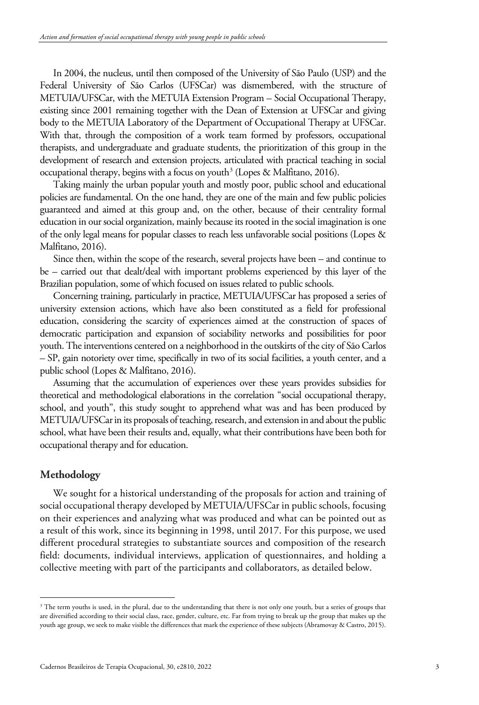In 2004, the nucleus, until then composed of the University of São Paulo (USP) and the Federal University of São Carlos (UFSCar) was dismembered, with the structure of METUIA/UFSCar, with the METUIA Extension Program – Social Occupational Therapy, existing since 2001 remaining together with the Dean of Extension at UFSCar and giving body to the METUIA Laboratory of the Department of Occupational Therapy at UFSCar. With that, through the composition of a work team formed by professors, occupational therapists, and undergraduate and graduate students, the prioritization of this group in the development of research and extension projects, articulated with practical teaching in social occupational therapy, begins with a focus on youth<sup>[3](#page-2-0)</sup> (Lopes & Malfitano, 2016).

Taking mainly the urban popular youth and mostly poor, public school and educational policies are fundamental. On the one hand, they are one of the main and few public policies guaranteed and aimed at this group and, on the other, because of their centrality formal education in our social organization, mainly because its rooted in the social imagination is one of the only legal means for popular classes to reach less unfavorable social positions (Lopes & Malfitano, 2016).

Since then, within the scope of the research, several projects have been – and continue to be – carried out that dealt/deal with important problems experienced by this layer of the Brazilian population, some of which focused on issues related to public schools.

Concerning training, particularly in practice, METUIA/UFSCar has proposed a series of university extension actions, which have also been constituted as a field for professional education, considering the scarcity of experiences aimed at the construction of spaces of democratic participation and expansion of sociability networks and possibilities for poor youth. The interventions centered on a neighborhood in the outskirts of the city of São Carlos – SP, gain notoriety over time, specifically in two of its social facilities, a youth center, and a public school (Lopes & Malfitano, 2016).

Assuming that the accumulation of experiences over these years provides subsidies for theoretical and methodological elaborations in the correlation "social occupational therapy, school, and youth", this study sought to apprehend what was and has been produced by METUIA/UFSCar in its proposals of teaching, research, and extension in and aboutthe public school, what have been their results and, equally, what their contributions have been both for occupational therapy and for education.

## **Methodology**

We sought for a historical understanding of the proposals for action and training of social occupational therapy developed by METUIA/UFSCar in public schools, focusing on their experiences and analyzing what was produced and what can be pointed out as a result of this work, since its beginning in 1998, until 2017. For this purpose, we used different procedural strategies to substantiate sources and composition of the research field: documents, individual interviews, application of questionnaires, and holding a collective meeting with part of the participants and collaborators, as detailed below.

<span id="page-2-0"></span><sup>&</sup>lt;sup>3</sup> The term youths is used, in the plural, due to the understanding that there is not only one youth, but a series of groups that are diversified according to their social class, race, gender, culture, etc. Far from trying to break up the group that makes up the youth age group, we seek to make visible the differences that mark the experience of these subjects (Abramovay & Castro, 2015).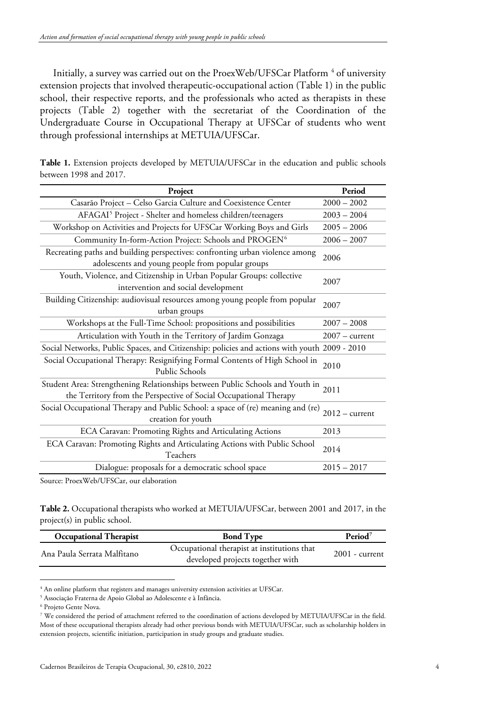Initially, a survey was carried out on the ProexWeb/UFSCar Platform<sup>[4](#page-3-0)</sup> of university extension projects that involved therapeutic-occupational action (Table 1) in the public school, their respective reports, and the professionals who acted as therapists in these projects (Table 2) together with the secretariat of the Coordination of the Undergraduate Course in Occupational Therapy at UFSCar of students who went through professional internships at METUIA/UFSCar.

| Project                                                                                                                                                 | Period           |
|---------------------------------------------------------------------------------------------------------------------------------------------------------|------------------|
| Casarão Project - Celso Garcia Culture and Coexistence Center                                                                                           | $2000 - 2002$    |
| AFAGAI <sup>5</sup> Project - Shelter and homeless children/teenagers                                                                                   | $2003 - 2004$    |
| Workshop on Activities and Projects for UFSCar Working Boys and Girls                                                                                   | $2005 - 2006$    |
| Community In-form-Action Project: Schools and PROGEN <sup>6</sup>                                                                                       | $2006 - 2007$    |
| Recreating paths and building perspectives: confronting urban violence among<br>adolescents and young people from popular groups                        | 2006             |
| Youth, Violence, and Citizenship in Urban Popular Groups: collective<br>intervention and social development                                             | 2007             |
| Building Citizenship: audiovisual resources among young people from popular<br>urban groups                                                             | 2007             |
| Workshops at the Full-Time School: propositions and possibilities                                                                                       | $2007 - 2008$    |
| Articulation with Youth in the Territory of Jardim Gonzaga                                                                                              | $2007 - current$ |
| Social Networks, Public Spaces, and Citizenship: policies and actions with youth 2009 - 2010                                                            |                  |
| Social Occupational Therapy: Resignifying Formal Contents of High School in<br>Public Schools                                                           | 2010             |
| Student Area: Strengthening Relationships between Public Schools and Youth in 2011<br>the Territory from the Perspective of Social Occupational Therapy |                  |
| Social Occupational Therapy and Public School: a space of (re) meaning and (re)<br>creation for youth                                                   | $2012 - current$ |
| ECA Caravan: Promoting Rights and Articulating Actions                                                                                                  | 2013             |
| ECA Caravan: Promoting Rights and Articulating Actions with Public School<br>Teachers                                                                   | 2014             |
| Dialogue: proposals for a democratic school space                                                                                                       | $2015 - 2017$    |

| Table 1. Extension projects developed by METUIA/UFSCar in the education and public schools |  |  |  |  |  |  |
|--------------------------------------------------------------------------------------------|--|--|--|--|--|--|
| between 1998 and 2017.                                                                     |  |  |  |  |  |  |

Source: ProexWeb/UFSCar, our elaboration

**Table 2.** Occupational therapists who worked at METUIA/UFSCar, between 2001 and 2017, in the project(s) in public school.

| <b>Occupational Therapist</b> | <b>Bond Type</b>                                                                | Period <sup>7</sup> |
|-------------------------------|---------------------------------------------------------------------------------|---------------------|
| Ana Paula Serrata Malfitano   | Occupational therapist at institutions that<br>developed projects together with | $2001$ - current    |

<span id="page-3-0"></span><sup>&</sup>lt;sup>4</sup> An online platform that registers and manages university extension activities at UFSCar.

<span id="page-3-1"></span><sup>5</sup> Associação Fraterna de Apoio Global ao Adolescente e à Infância.

<span id="page-3-2"></span><sup>6</sup> Projeto Gente Nova.

<span id="page-3-3"></span><sup>7</sup> We considered the period of attachment referred to the coordination of actions developed by METUIA/UFSCar in the field. Most of these occupational therapists already had other previous bonds with METUIA/UFSCar, such as scholarship holders in extension projects, scientific initiation, participation in study groups and graduate studies.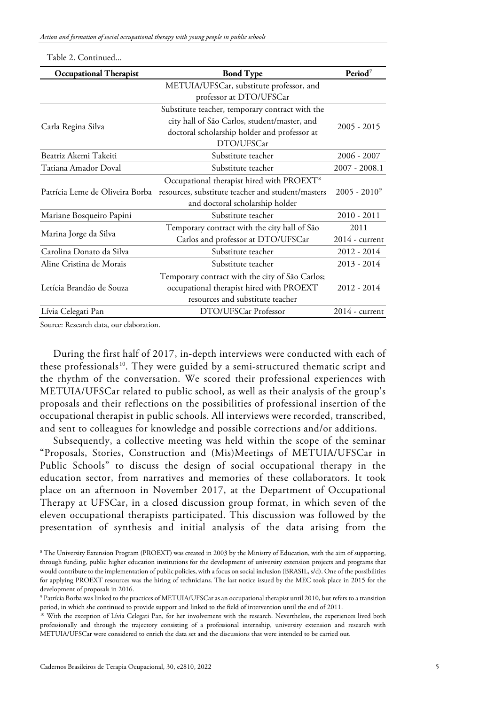| <b>Occupational Therapist</b>   | <b>Bond Type</b>                                      | Period <sup>7</sup> |  |
|---------------------------------|-------------------------------------------------------|---------------------|--|
|                                 | METUIA/UFSCar, substitute professor, and              |                     |  |
|                                 | professor at DTO/UFSCar                               |                     |  |
|                                 | Substitute teacher, temporary contract with the       |                     |  |
| Carla Regina Silva              | city hall of São Carlos, student/master, and          | $2005 - 2015$       |  |
|                                 | doctoral scholarship holder and professor at          |                     |  |
|                                 | DTO/UFSCar                                            |                     |  |
| Beatriz Akemi Takeiti           | Substitute teacher                                    | $2006 - 2007$       |  |
| Tatiana Amador Doval            | Substitute teacher                                    | $2007 - 2008.1$     |  |
|                                 | Occupational therapist hired with PROEXT <sup>8</sup> |                     |  |
| Patrícia Leme de Oliveira Borba | resources, substitute teacher and student/masters     | $2005 - 2010^9$     |  |
|                                 | and doctoral scholarship holder                       |                     |  |
| Mariane Bosqueiro Papini        | Substitute teacher                                    | $2010 - 2011$       |  |
|                                 | Temporary contract with the city hall of São          | 2011                |  |
| Marina Jorge da Silva           | Carlos and professor at DTO/UFSCar                    | $2014$ - current    |  |
| Carolina Donato da Silva        | Substitute teacher                                    | $2012 - 2014$       |  |
| Aline Cristina de Morais        | Substitute teacher                                    | $2013 - 2014$       |  |
|                                 | Temporary contract with the city of São Carlos;       |                     |  |
| Letícia Brandão de Souza        | occupational therapist hired with PROEXT              | 2012 - 2014         |  |
|                                 | resources and substitute teacher                      |                     |  |
| Lívia Celegati Pan              | DTO/UFSCar Professor                                  | $2014$ - current    |  |

Table 2. Continued...

Source: Research data, our elaboration.

During the first half of 2017, in-depth interviews were conducted with each of these professionals<sup>10</sup>. They were guided by a semi-structured thematic script and the rhythm of the conversation. We scored their professional experiences with METUIA/UFSCar related to public school, as well as their analysis of the group's proposals and their reflections on the possibilities of professional insertion of the occupational therapist in public schools. All interviews were recorded, transcribed, and sent to colleagues for knowledge and possible corrections and/or additions.

Subsequently, a collective meeting was held within the scope of the seminar "Proposals, Stories, Construction and (Mis)Meetings of METUIA/UFSCar in Public Schools" to discuss the design of social occupational therapy in the education sector, from narratives and memories of these collaborators. It took place on an afternoon in November 2017, at the Department of Occupational Therapy at UFSCar, in a closed discussion group format, in which seven of the eleven occupational therapists participated. This discussion was followed by the presentation of synthesis and initial analysis of the data arising from the

<span id="page-4-0"></span><sup>8</sup> The University Extension Program (PROEXT) was created in 2003 by the Ministry of Education, with the aim of supporting, through funding, public higher education institutions for the development of university extension projects and programs that would contribute to the implementation of public policies, with a focus on social inclusion (BRASIL, s/d). One of the possibilities for applying PROEXT resources was the hiring of technicians. The last notice issued by the MEC took place in 2015 for the development of proposals in 2016.

<span id="page-4-1"></span><sup>9</sup> Patrícia Borba was linked to the practices of METUIA/UFSCar as an occupational therapist until 2010, but refers to a transition period, in which she continued to provide support and linked to the field of intervention until the end of 2011.

<span id="page-4-2"></span><sup>&</sup>lt;sup>10</sup> With the exception of Lívia Celegati Pan, for her involvement with the research. Nevertheless, the experiences lived both professionally and through the trajectory consisting of a professional internship, university extension and research with METUIA/UFSCar were considered to enrich the data set and the discussions that were intended to be carried out.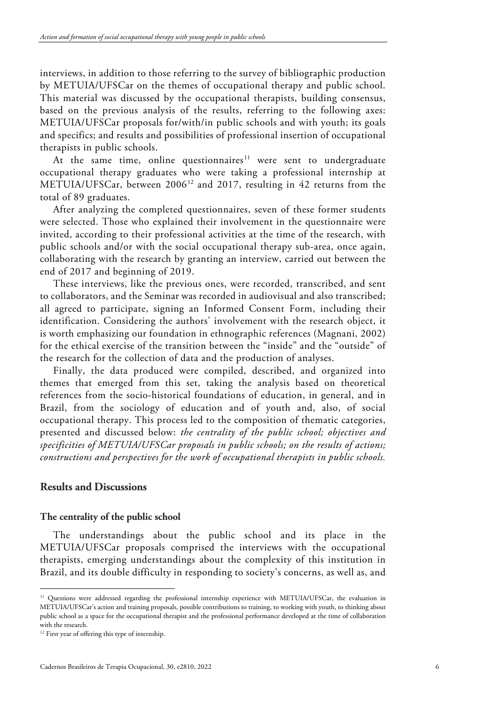interviews, in addition to those referring to the survey of bibliographic production by METUIA/UFSCar on the themes of occupational therapy and public school. This material was discussed by the occupational therapists, building consensus, based on the previous analysis of the results, referring to the following axes: METUIA/UFSCar proposals for/with/in public schools and with youth; its goals and specifics; and results and possibilities of professional insertion of occupational therapists in public schools.

At the same time, online questionnaires<sup>[11](#page-5-0)</sup> were sent to undergraduate occupational therapy graduates who were taking a professional internship at METUIA/UFSCar, between 2006<sup>[12](#page-5-1)</sup> and 2017, resulting in 42 returns from the total of 89 graduates.

After analyzing the completed questionnaires, seven of these former students were selected. Those who explained their involvement in the questionnaire were invited, according to their professional activities at the time of the research, with public schools and/or with the social occupational therapy sub-area, once again, collaborating with the research by granting an interview, carried out between the end of 2017 and beginning of 2019.

These interviews, like the previous ones, were recorded, transcribed, and sent to collaborators, and the Seminar was recorded in audiovisual and also transcribed; all agreed to participate, signing an Informed Consent Form, including their identification. Considering the authors' involvement with the research object, it is worth emphasizing our foundation in ethnographic references (Magnani, 2002) for the ethical exercise of the transition between the "inside" and the "outside" of the research for the collection of data and the production of analyses.

Finally, the data produced were compiled, described, and organized into themes that emerged from this set, taking the analysis based on theoretical references from the socio-historical foundations of education, in general, and in Brazil, from the sociology of education and of youth and, also, of social occupational therapy. This process led to the composition of thematic categories, presented and discussed below: *the centrality of the public school; objectives and specificities of METUIA/UFSCar proposals in public schools; on the results of actions; constructions and perspectives for the work of occupational therapists in public schools.*

## **Results and Discussions**

## **The centrality of the public school**

The understandings about the public school and its place in the METUIA/UFSCar proposals comprised the interviews with the occupational therapists, emerging understandings about the complexity of this institution in Brazil, and its double difficulty in responding to society's concerns, as well as, and

<span id="page-5-0"></span><sup>&</sup>lt;sup>11</sup> Questions were addressed regarding the professional internship experience with METUIA/UFSCar, the evaluation in METUIA/UFSCar's action and training proposals, possible contributions to training, to working with youth, to thinking about public school as a space for the occupational therapist and the professional performance developed at the time of collaboration with the research.

<span id="page-5-1"></span><sup>&</sup>lt;sup>12</sup> First year of offering this type of internship.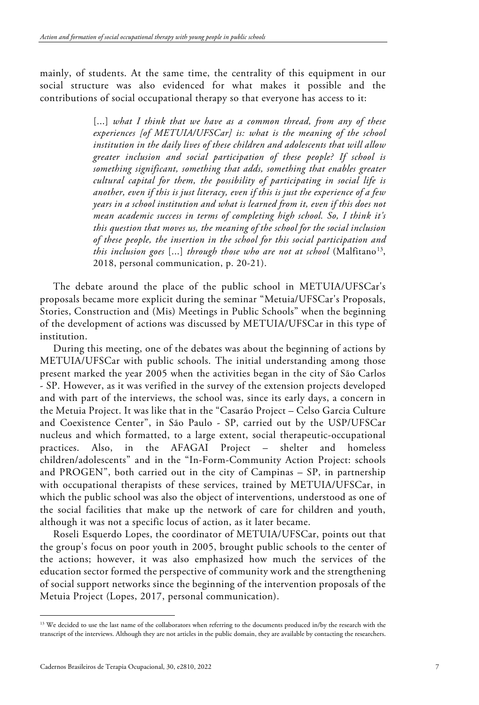mainly, of students. At the same time, the centrality of this equipment in our social structure was also evidenced for what makes it possible and the contributions of social occupational therapy so that everyone has access to it:

> [...] what I think that we have as a common thread, from any of these *experiences [of METUIA/UFSCar] is: what is the meaning of the school institution in the daily lives of these children and adolescents that will allow greater inclusion and social participation of these people? If school is something significant, something that adds, something that enables greater cultural capital for them, the possibility of participating in social life is another, even if this is just literacy, even if this is just the experience of a few years in a school institution and what is learned from it, even if this does not mean academic success in terms of completing high school. So, I think it's this question that moves us, the meaning of the school for the social inclusion of these people, the insertion in the school for this social participation and this inclusion goes* [...] *through those who are not at school* (Malfitano<sup>[13](#page-6-0)</sup>, 2018, personal communication, p. 20-21).

The debate around the place of the public school in METUIA/UFSCar's proposals became more explicit during the seminar "Metuia/UFSCar's Proposals, Stories, Construction and (Mis) Meetings in Public Schools" when the beginning of the development of actions was discussed by METUIA/UFSCar in this type of institution.

During this meeting, one of the debates was about the beginning of actions by METUIA/UFSCar with public schools. The initial understanding among those present marked the year 2005 when the activities began in the city of São Carlos - SP. However, as it was verified in the survey of the extension projects developed and with part of the interviews, the school was, since its early days, a concern in the Metuia Project. It was like that in the "Casarão Project – Celso Garcia Culture and Coexistence Center", in São Paulo - SP, carried out by the USP/UFSCar nucleus and which formatted, to a large extent, social therapeutic-occupational practices. Also, in the AFAGAI Project – shelter and homeless children/adolescents" and in the "In-Form-Community Action Project: schools and PROGEN", both carried out in the city of Campinas – SP, in partnership with occupational therapists of these services, trained by METUIA/UFSCar, in which the public school was also the object of interventions, understood as one of the social facilities that make up the network of care for children and youth, although it was not a specific locus of action, as it later became.

Roseli Esquerdo Lopes, the coordinator of METUIA/UFSCar, points out that the group's focus on poor youth in 2005, brought public schools to the center of the actions; however, it was also emphasized how much the services of the education sector formed the perspective of community work and the strengthening of social support networks since the beginning of the intervention proposals of the Metuia Project (Lopes, 2017, personal communication).

<span id="page-6-0"></span><sup>&</sup>lt;sup>13</sup> We decided to use the last name of the collaborators when referring to the documents produced in/by the research with the transcript of the interviews. Although they are not articles in the public domain, they are available by contacting the researchers.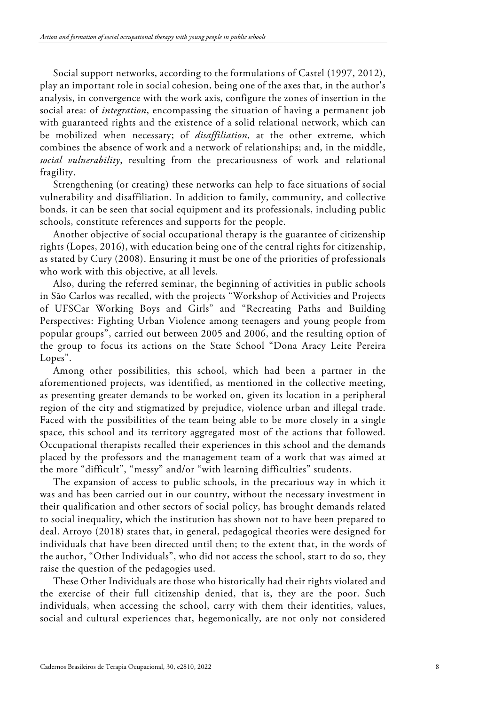Social support networks, according to the formulations of Castel (1997, 2012), play an important role in social cohesion, being one of the axes that, in the author's analysis, in convergence with the work axis, configure the zones of insertion in the social area: of *integration*, encompassing the situation of having a permanent job with guaranteed rights and the existence of a solid relational network, which can be mobilized when necessary; of *disaffiliation*, at the other extreme, which combines the absence of work and a network of relationships; and, in the middle, *social vulnerability*, resulting from the precariousness of work and relational fragility.

Strengthening (or creating) these networks can help to face situations of social vulnerability and disaffiliation. In addition to family, community, and collective bonds, it can be seen that social equipment and its professionals, including public schools, constitute references and supports for the people.

Another objective of social occupational therapy is the guarantee of citizenship rights (Lopes, 2016), with education being one of the central rights for citizenship, as stated by Cury (2008). Ensuring it must be one of the priorities of professionals who work with this objective, at all levels.

Also, during the referred seminar, the beginning of activities in public schools in São Carlos was recalled, with the projects "Workshop of Activities and Projects of UFSCar Working Boys and Girls" and "Recreating Paths and Building Perspectives: Fighting Urban Violence among teenagers and young people from popular groups", carried out between 2005 and 2006, and the resulting option of the group to focus its actions on the State School "Dona Aracy Leite Pereira Lopes".

Among other possibilities, this school, which had been a partner in the aforementioned projects, was identified, as mentioned in the collective meeting, as presenting greater demands to be worked on, given its location in a peripheral region of the city and stigmatized by prejudice, violence urban and illegal trade. Faced with the possibilities of the team being able to be more closely in a single space, this school and its territory aggregated most of the actions that followed. Occupational therapists recalled their experiences in this school and the demands placed by the professors and the management team of a work that was aimed at the more "difficult", "messy" and/or "with learning difficulties" students.

The expansion of access to public schools, in the precarious way in which it was and has been carried out in our country, without the necessary investment in their qualification and other sectors of social policy, has brought demands related to social inequality, which the institution has shown not to have been prepared to deal. Arroyo (2018) states that, in general, pedagogical theories were designed for individuals that have been directed until then; to the extent that, in the words of the author, "Other Individuals", who did not access the school, start to do so, they raise the question of the pedagogies used.

These Other Individuals are those who historically had their rights violated and the exercise of their full citizenship denied, that is, they are the poor. Such individuals, when accessing the school, carry with them their identities, values, social and cultural experiences that, hegemonically, are not only not considered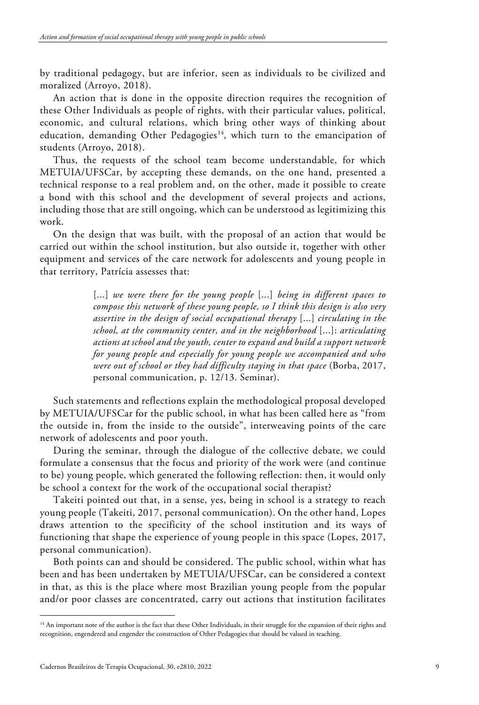by traditional pedagogy, but are inferior, seen as individuals to be civilized and moralized (Arroyo, 2018).

An action that is done in the opposite direction requires the recognition of these Other Individuals as people of rights, with their particular values, political, economic, and cultural relations, which bring other ways of thinking about education, demanding Other Pedagogies<sup>[14](#page-8-0)</sup>, which turn to the emancipation of students (Arroyo, 2018).

Thus, the requests of the school team become understandable, for which METUIA/UFSCar, by accepting these demands, on the one hand, presented a technical response to a real problem and, on the other, made it possible to create a bond with this school and the development of several projects and actions, including those that are still ongoing, which can be understood as legitimizing this work.

On the design that was built, with the proposal of an action that would be carried out within the school institution, but also outside it, together with other equipment and services of the care network for adolescents and young people in that territory, Patrícia assesses that:

> [...] *we were there for the young people* [...] *being in different spaces to compose this network of these young people, so I think this design is also very assertive in the design of social occupational therapy* [...] *circulating in the school, at the community center, and in the neighborhood* [...]: *articulating actions at school and the youth, center to expand and build a support network for young people and especially for young people we accompanied and who were out of school or they had difficulty staying in that space* (Borba, 2017, personal communication, p. 12/13. Seminar).

Such statements and reflections explain the methodological proposal developed by METUIA/UFSCar for the public school, in what has been called here as "from the outside in, from the inside to the outside", interweaving points of the care network of adolescents and poor youth.

During the seminar, through the dialogue of the collective debate, we could formulate a consensus that the focus and priority of the work were (and continue to be) young people, which generated the following reflection: then, it would only be school a context for the work of the occupational social therapist?

Takeiti pointed out that, in a sense, yes, being in school is a strategy to reach young people (Takeiti, 2017, personal communication). On the other hand, Lopes draws attention to the specificity of the school institution and its ways of functioning that shape the experience of young people in this space (Lopes, 2017, personal communication).

Both points can and should be considered. The public school, within what has been and has been undertaken by METUIA/UFSCar, can be considered a context in that, as this is the place where most Brazilian young people from the popular and/or poor classes are concentrated, carry out actions that institution facilitates

<span id="page-8-0"></span><sup>&</sup>lt;sup>14</sup> An important note of the author is the fact that these Other Individuals, in their struggle for the expansion of their rights and recognition, engendered and engender the construction of Other Pedagogies that should be valued in teaching.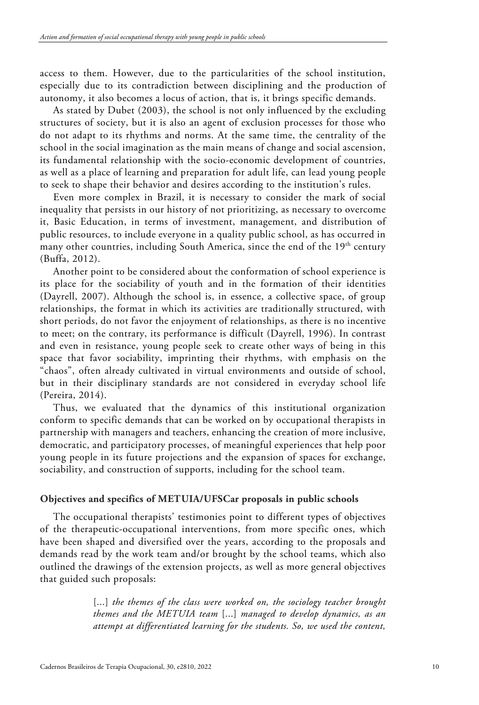access to them. However, due to the particularities of the school institution, especially due to its contradiction between disciplining and the production of autonomy, it also becomes a locus of action, that is, it brings specific demands.

As stated by Dubet (2003), the school is not only influenced by the excluding structures of society, but it is also an agent of exclusion processes for those who do not adapt to its rhythms and norms. At the same time, the centrality of the school in the social imagination as the main means of change and social ascension, its fundamental relationship with the socio-economic development of countries, as well as a place of learning and preparation for adult life, can lead young people to seek to shape their behavior and desires according to the institution's rules.

Even more complex in Brazil, it is necessary to consider the mark of social inequality that persists in our history of not prioritizing, as necessary to overcome it, Basic Education, in terms of investment, management, and distribution of public resources, to include everyone in a quality public school, as has occurred in many other countries, including South America, since the end of the  $19<sup>th</sup>$  century (Buffa, 2012).

Another point to be considered about the conformation of school experience is its place for the sociability of youth and in the formation of their identities (Dayrell, 2007). Although the school is, in essence, a collective space, of group relationships, the format in which its activities are traditionally structured, with short periods, do not favor the enjoyment of relationships, as there is no incentive to meet; on the contrary, its performance is difficult (Dayrell, 1996). In contrast and even in resistance, young people seek to create other ways of being in this space that favor sociability, imprinting their rhythms, with emphasis on the "chaos", often already cultivated in virtual environments and outside of school, but in their disciplinary standards are not considered in everyday school life (Pereira, 2014).

Thus, we evaluated that the dynamics of this institutional organization conform to specific demands that can be worked on by occupational therapists in partnership with managers and teachers, enhancing the creation of more inclusive, democratic, and participatory processes, of meaningful experiences that help poor young people in its future projections and the expansion of spaces for exchange, sociability, and construction of supports, including for the school team.

## **Objectives and specifics of METUIA/UFSCar proposals in public schools**

The occupational therapists' testimonies point to different types of objectives of the therapeutic-occupational interventions, from more specific ones, which have been shaped and diversified over the years, according to the proposals and demands read by the work team and/or brought by the school teams, which also outlined the drawings of the extension projects, as well as more general objectives that guided such proposals:

> [...] *the themes of the class were worked on, the sociology teacher brought themes and the METUIA team* [...] *managed to develop dynamics, as an attempt at differentiated learning for the students. So, we used the content,*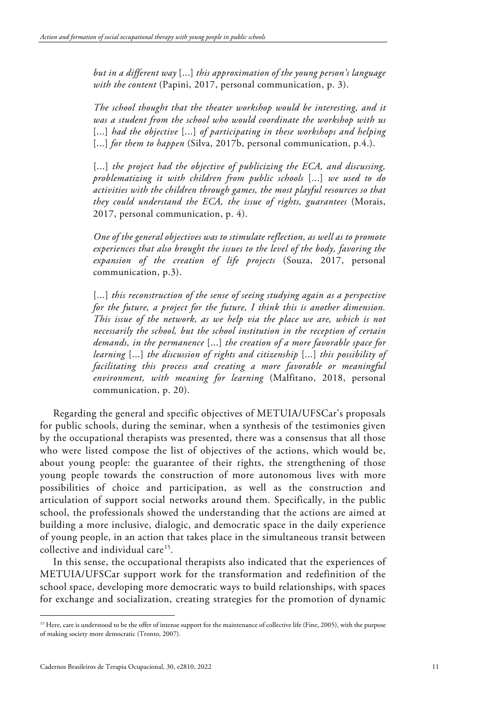*but in a different way* [...] *this approximation of the young person's language with the content* (Papini, 2017, personal communication, p. 3).

*The school thought that the theater workshop would be interesting, and it was a student from the school who would coordinate the workshop with us* [...] *had the objective* [...] *of participating in these workshops and helping* [...] *for them to happen* (Silva, 2017b, personal communication, p.4.).

[...] *the project had the objective of publicizing the ECA, and discussing, problematizing it with children from public schools* [...] *we used to do activities with the children through games, the most playful resources so that they could understand the ECA, the issue of rights, guarantees* (Morais, 2017, personal communication, p. 4).

*One of the general objectives was to stimulate reflection, as well as to promote experiences that also brought the issues to the level of the body, favoring the expansion of the creation of life projects* (Souza, 2017, personal communication, p.3).

[...] *this reconstruction of the sense of seeing studying again as a perspective for the future, a project for the future, I think this is another dimension. This issue of the network, as we help via the place we are, which is not necessarily the school, but the school institution in the reception of certain demands, in the permanence* [...] *the creation of a more favorable space for learning* [...] *the discussion of rights and citizenship* [...] *this possibility of facilitating this process and creating a more favorable or meaningful environment, with meaning for learning* (Malfitano, 2018, personal communication, p. 20).

Regarding the general and specific objectives of METUIA/UFSCar's proposals for public schools, during the seminar, when a synthesis of the testimonies given by the occupational therapists was presented, there was a consensus that all those who were listed compose the list of objectives of the actions, which would be, about young people: the guarantee of their rights, the strengthening of those young people towards the construction of more autonomous lives with more possibilities of choice and participation, as well as the construction and articulation of support social networks around them. Specifically, in the public school, the professionals showed the understanding that the actions are aimed at building a more inclusive, dialogic, and democratic space in the daily experience of young people, in an action that takes place in the simultaneous transit between collective and individual care<sup>15</sup>.

In this sense, the occupational therapists also indicated that the experiences of METUIA/UFSCar support work for the transformation and redefinition of the school space, developing more democratic ways to build relationships, with spaces for exchange and socialization, creating strategies for the promotion of dynamic

<span id="page-10-0"></span><sup>&</sup>lt;sup>15</sup> Here, care is understood to be the offer of intense support for the maintenance of collective life (Fine, 2005), with the purpose of making society more democratic (Tronto, 2007).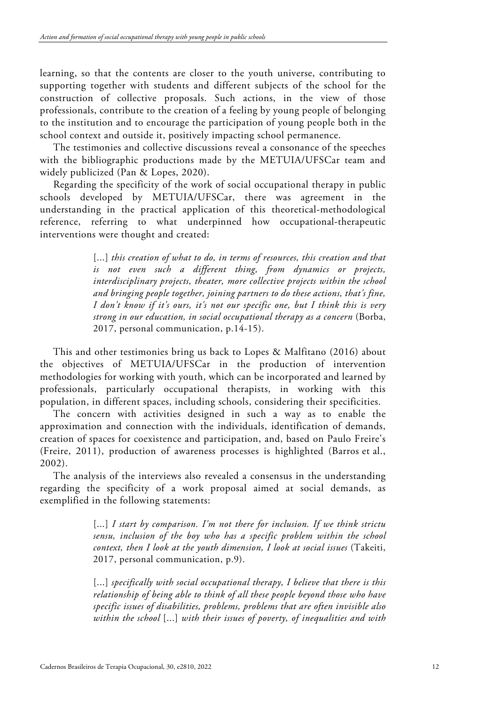learning, so that the contents are closer to the youth universe, contributing to supporting together with students and different subjects of the school for the construction of collective proposals. Such actions, in the view of those professionals, contribute to the creation of a feeling by young people of belonging to the institution and to encourage the participation of young people both in the school context and outside it, positively impacting school permanence.

The testimonies and collective discussions reveal a consonance of the speeches with the bibliographic productions made by the METUIA/UFSCar team and widely publicized (Pan & Lopes, 2020).

Regarding the specificity of the work of social occupational therapy in public schools developed by METUIA/UFSCar, there was agreement in the understanding in the practical application of this theoretical-methodological reference, referring to what underpinned how occupational-therapeutic interventions were thought and created:

> [...] *this creation of what to do, in terms of resources, this creation and that is not even such a different thing, from dynamics or projects, interdisciplinary projects, theater, more collective projects within the school and bringing people together, joining partners to do these actions, that's fine, I don't know if it's ours, it's not our specific one, but I think this is very strong in our education, in social occupational therapy as a concern* (Borba, 2017, personal communication, p.14-15).

This and other testimonies bring us back to Lopes & Malfitano (2016) about the objectives of METUIA/UFSCar in the production of intervention methodologies for working with youth, which can be incorporated and learned by professionals, particularly occupational therapists, in working with this population, in different spaces, including schools, considering their specificities.

The concern with activities designed in such a way as to enable the approximation and connection with the individuals, identification of demands, creation of spaces for coexistence and participation, and, based on Paulo Freire's (Freire, 2011), production of awareness processes is highlighted (Barros et al., 2002).

The analysis of the interviews also revealed a consensus in the understanding regarding the specificity of a work proposal aimed at social demands, as exemplified in the following statements:

> [...] *I start by comparison. I'm not there for inclusion. If we think strictu sensu, inclusion of the boy who has a specific problem within the school context, then I look at the youth dimension, I look at social issues* (Takeiti, 2017, personal communication, p.9).

> [...] *specifically with social occupational therapy, I believe that there is this relationship of being able to think of all these people beyond those who have specific issues of disabilities, problems, problems that are often invisible also within the school* [...] *with their issues of poverty, of inequalities and with*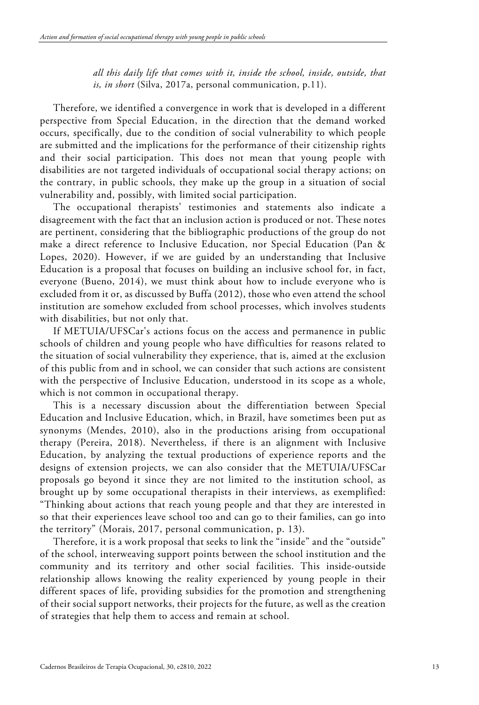*all this daily life that comes with it, inside the school, inside, outside, that is, in short* (Silva, 2017a, personal communication, p.11).

Therefore, we identified a convergence in work that is developed in a different perspective from Special Education, in the direction that the demand worked occurs, specifically, due to the condition of social vulnerability to which people are submitted and the implications for the performance of their citizenship rights and their social participation. This does not mean that young people with disabilities are not targeted individuals of occupational social therapy actions; on the contrary, in public schools, they make up the group in a situation of social vulnerability and, possibly, with limited social participation.

The occupational therapists' testimonies and statements also indicate a disagreement with the fact that an inclusion action is produced or not. These notes are pertinent, considering that the bibliographic productions of the group do not make a direct reference to Inclusive Education, nor Special Education (Pan & Lopes, 2020). However, if we are guided by an understanding that Inclusive Education is a proposal that focuses on building an inclusive school for, in fact, everyone (Bueno, 2014), we must think about how to include everyone who is excluded from it or, as discussed by Buffa (2012), those who even attend the school institution are somehow excluded from school processes, which involves students with disabilities, but not only that.

If METUIA/UFSCar's actions focus on the access and permanence in public schools of children and young people who have difficulties for reasons related to the situation of social vulnerability they experience, that is, aimed at the exclusion of this public from and in school, we can consider that such actions are consistent with the perspective of Inclusive Education, understood in its scope as a whole, which is not common in occupational therapy.

This is a necessary discussion about the differentiation between Special Education and Inclusive Education, which, in Brazil, have sometimes been put as synonyms (Mendes, 2010), also in the productions arising from occupational therapy (Pereira, 2018). Nevertheless, if there is an alignment with Inclusive Education, by analyzing the textual productions of experience reports and the designs of extension projects, we can also consider that the METUIA/UFSCar proposals go beyond it since they are not limited to the institution school, as brought up by some occupational therapists in their interviews, as exemplified: "Thinking about actions that reach young people and that they are interested in so that their experiences leave school too and can go to their families, can go into the territory" (Morais, 2017, personal communication, p. 13).

Therefore, it is a work proposal that seeks to link the "inside" and the "outside" of the school, interweaving support points between the school institution and the community and its territory and other social facilities. This inside-outside relationship allows knowing the reality experienced by young people in their different spaces of life, providing subsidies for the promotion and strengthening of their social support networks, their projects for the future, as well as the creation of strategies that help them to access and remain at school.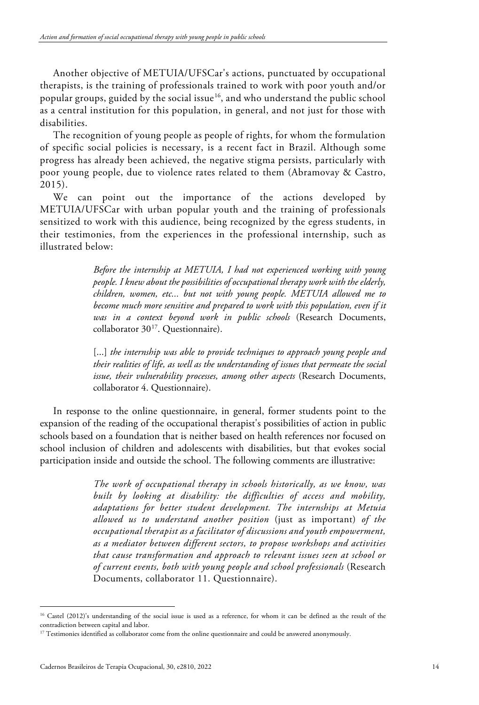Another objective of METUIA/UFSCar's actions, punctuated by occupational therapists, is the training of professionals trained to work with poor youth and/or popular groups, guided by the social issue [16](#page-13-0), and who understand the public school as a central institution for this population, in general, and not just for those with disabilities.

The recognition of young people as people of rights, for whom the formulation of specific social policies is necessary, is a recent fact in Brazil. Although some progress has already been achieved, the negative stigma persists, particularly with poor young people, due to violence rates related to them (Abramovay & Castro, 2015).

We can point out the importance of the actions developed by METUIA/UFSCar with urban popular youth and the training of professionals sensitized to work with this audience, being recognized by the egress students, in their testimonies, from the experiences in the professional internship, such as illustrated below:

> *Before the internship at METUIA, I had not experienced working with young people. I knew about the possibilities of occupational therapy work with the elderly, children, women, etc... but not with young people. METUIA allowed me to become much more sensitive and prepared to work with this population, even if it was in a context beyond work in public schools* (Research Documents, collaborator 30<sup>17</sup>. Questionnaire).

> [...] *the internship was able to provide techniques to approach young people and their realities of life, as well as the understanding of issues that permeate the social issue, their vulnerability processes, among other aspects* (Research Documents, collaborator 4. Questionnaire).

In response to the online questionnaire, in general, former students point to the expansion of the reading of the occupational therapist's possibilities of action in public schools based on a foundation that is neither based on health references nor focused on school inclusion of children and adolescents with disabilities, but that evokes social participation inside and outside the school. The following comments are illustrative:

> *The work of occupational therapy in schools historically, as we know, was built by looking at disability: the difficulties of access and mobility, adaptations for better student development. The internships at Metuia allowed us to understand another position* (just as important) *of the occupational therapist as a facilitator of discussions and youth empowerment, as a mediator between different sectors, to propose workshops and activities that cause transformation and approach to relevant issues seen at school or of current events, both with young people and school professionals* (Research Documents, collaborator 11. Questionnaire).

<span id="page-13-0"></span><sup>&</sup>lt;sup>16</sup> Castel (2012)'s understanding of the social issue is used as a reference, for whom it can be defined as the result of the contradiction between capital and labor.

<span id="page-13-1"></span><sup>&</sup>lt;sup>17</sup> Testimonies identified as collaborator come from the online questionnaire and could be answered anonymously.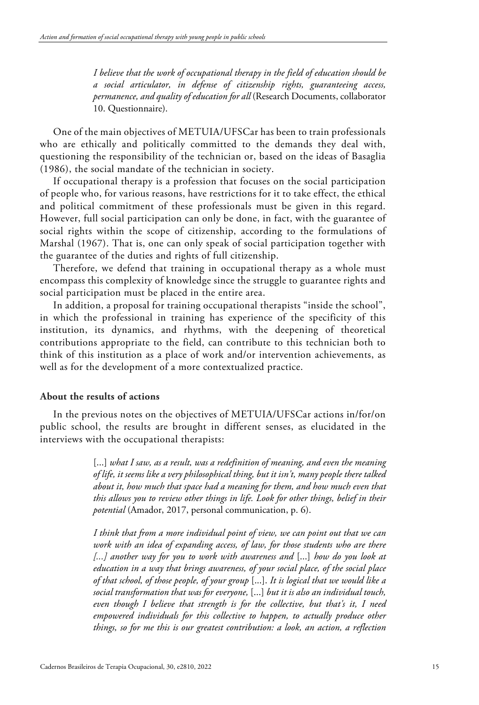*I believe that the work of occupational therapy in the field of education should be a social articulator, in defense of citizenship rights, guaranteeing access, permanence, and quality of education for all* (Research Documents, collaborator 10. Questionnaire).

One of the main objectives of METUIA/UFSCar has been to train professionals who are ethically and politically committed to the demands they deal with, questioning the responsibility of the technician or, based on the ideas of Basaglia (1986), the social mandate of the technician in society.

If occupational therapy is a profession that focuses on the social participation of people who, for various reasons, have restrictions for it to take effect, the ethical and political commitment of these professionals must be given in this regard. However, full social participation can only be done, in fact, with the guarantee of social rights within the scope of citizenship, according to the formulations of Marshal (1967). That is, one can only speak of social participation together with the guarantee of the duties and rights of full citizenship.

Therefore, we defend that training in occupational therapy as a whole must encompass this complexity of knowledge since the struggle to guarantee rights and social participation must be placed in the entire area.

In addition, a proposal for training occupational therapists "inside the school", in which the professional in training has experience of the specificity of this institution, its dynamics, and rhythms, with the deepening of theoretical contributions appropriate to the field, can contribute to this technician both to think of this institution as a place of work and/or intervention achievements, as well as for the development of a more contextualized practice.

## **About the results of actions**

In the previous notes on the objectives of METUIA/UFSCar actions in/for/on public school, the results are brought in different senses, as elucidated in the interviews with the occupational therapists:

> [...] what I saw, as a result, was a redefinition of meaning, and even the meaning *of life, it seems like a very philosophical thing, but it isn't, many people there talked about it, how much that space had a meaning for them, and how much even that this allows you to review other things in life. Look for other things, belief in their potential* (Amador, 2017, personal communication, p. 6).

> *I think that from a more individual point of view, we can point out that we can work with an idea of expanding access, of law, for those students who are there [...] another way for you to work with awareness and* [...] *how do you look at education in a way that brings awareness, of your social place, of the social place of that school, of those people, of your group* [...]. *It is logical that we would like a social transformation that was for everyone,* [...] *but it is also an individual touch, even though I believe that strength is for the collective, but that's it, I need empowered individuals for this collective to happen, to actually produce other things, so for me this is our greatest contribution: a look, an action, a reflection*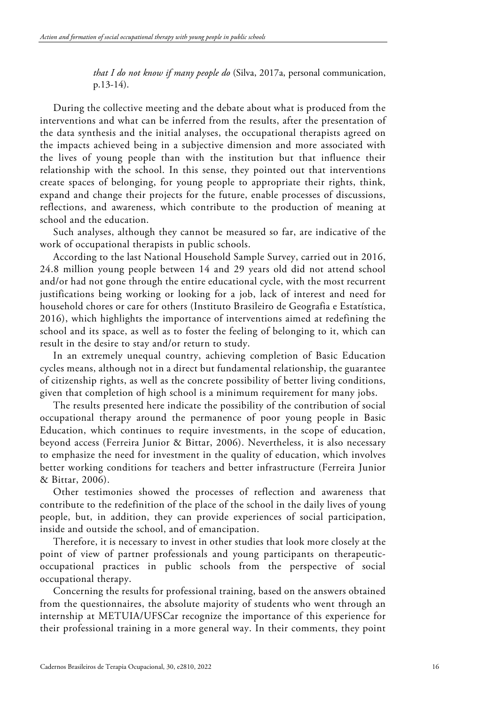*that I do not know if many people do* (Silva, 2017a, personal communication, p.13-14).

During the collective meeting and the debate about what is produced from the interventions and what can be inferred from the results, after the presentation of the data synthesis and the initial analyses, the occupational therapists agreed on the impacts achieved being in a subjective dimension and more associated with the lives of young people than with the institution but that influence their relationship with the school. In this sense, they pointed out that interventions create spaces of belonging, for young people to appropriate their rights, think, expand and change their projects for the future, enable processes of discussions, reflections, and awareness, which contribute to the production of meaning at school and the education.

Such analyses, although they cannot be measured so far, are indicative of the work of occupational therapists in public schools.

According to the last National Household Sample Survey, carried out in 2016, 24.8 million young people between 14 and 29 years old did not attend school and/or had not gone through the entire educational cycle, with the most recurrent justifications being working or looking for a job, lack of interest and need for household chores or care for others (Instituto Brasileiro de Geografia e Estatística, 2016), which highlights the importance of interventions aimed at redefining the school and its space, as well as to foster the feeling of belonging to it, which can result in the desire to stay and/or return to study.

In an extremely unequal country, achieving completion of Basic Education cycles means, although not in a direct but fundamental relationship, the guarantee of citizenship rights, as well as the concrete possibility of better living conditions, given that completion of high school is a minimum requirement for many jobs.

The results presented here indicate the possibility of the contribution of social occupational therapy around the permanence of poor young people in Basic Education, which continues to require investments, in the scope of education, beyond access (Ferreira Junior & Bittar, 2006). Nevertheless, it is also necessary to emphasize the need for investment in the quality of education, which involves better working conditions for teachers and better infrastructure (Ferreira Junior & Bittar, 2006).

Other testimonies showed the processes of reflection and awareness that contribute to the redefinition of the place of the school in the daily lives of young people, but, in addition, they can provide experiences of social participation, inside and outside the school, and of emancipation.

Therefore, it is necessary to invest in other studies that look more closely at the point of view of partner professionals and young participants on therapeuticoccupational practices in public schools from the perspective of social occupational therapy.

Concerning the results for professional training, based on the answers obtained from the questionnaires, the absolute majority of students who went through an internship at METUIA/UFSCar recognize the importance of this experience for their professional training in a more general way. In their comments, they point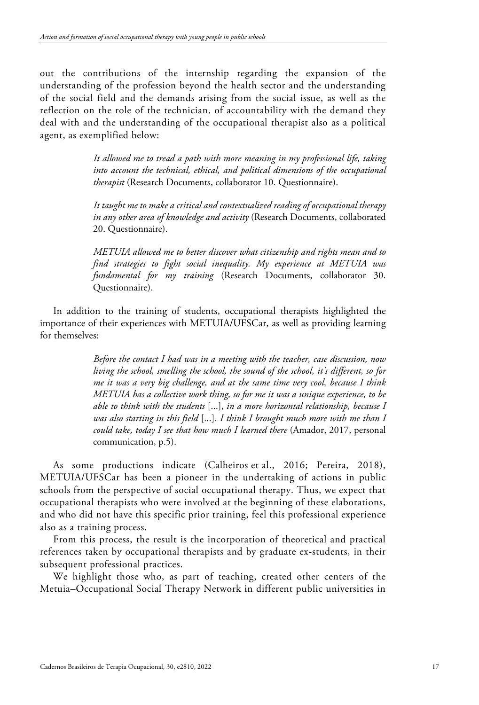out the contributions of the internship regarding the expansion of the understanding of the profession beyond the health sector and the understanding of the social field and the demands arising from the social issue, as well as the reflection on the role of the technician, of accountability with the demand they deal with and the understanding of the occupational therapist also as a political agent, as exemplified below:

> *It allowed me to tread a path with more meaning in my professional life, taking into account the technical, ethical, and political dimensions of the occupational therapist* (Research Documents, collaborator 10. Questionnaire).

> *It taught me to make a critical and contextualized reading of occupational therapy in any other area of knowledge and activity* (Research Documents, collaborated 20. Questionnaire).

> *METUIA allowed me to better discover what citizenship and rights mean and to find strategies to fight social inequality. My experience at METUIA was fundamental for my training* (Research Documents, collaborator 30. Questionnaire).

In addition to the training of students, occupational therapists highlighted the importance of their experiences with METUIA/UFSCar, as well as providing learning for themselves:

> *Before the contact I had was in a meeting with the teacher, case discussion, now living the school, smelling the school, the sound of the school, it's different, so for me it was a very big challenge, and at the same time very cool, because I think METUIA has a collective work thing, so for me it was a unique experience, to be able to think with the students* [...], *in a more horizontal relationship, because I was also starting in this field* [...]. *I think I brought much more with me than I could take, today I see that how much I learned there* (Amador, 2017, personal communication, p.5).

As some productions indicate (Calheiros et al., 2016; Pereira, 2018), METUIA/UFSCar has been a pioneer in the undertaking of actions in public schools from the perspective of social occupational therapy. Thus, we expect that occupational therapists who were involved at the beginning of these elaborations, and who did not have this specific prior training, feel this professional experience also as a training process.

From this process, the result is the incorporation of theoretical and practical references taken by occupational therapists and by graduate ex-students, in their subsequent professional practices.

We highlight those who, as part of teaching, created other centers of the Metuia–Occupational Social Therapy Network in different public universities in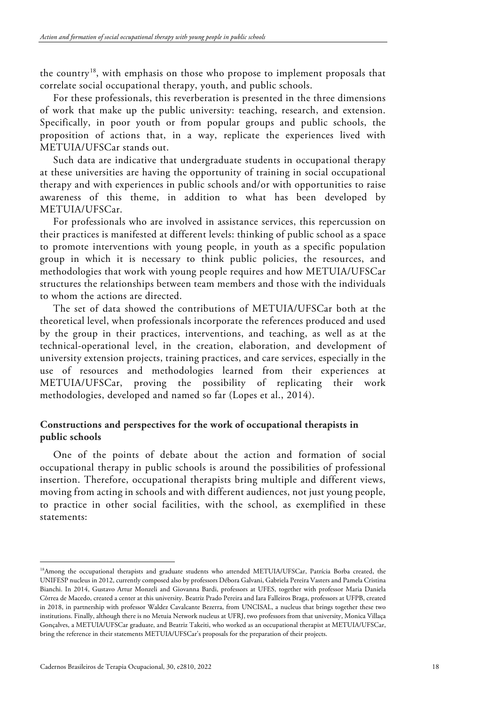the country<sup>[18](#page-17-0)</sup>, with emphasis on those who propose to implement proposals that correlate social occupational therapy, youth, and public schools.

For these professionals, this reverberation is presented in the three dimensions of work that make up the public university: teaching, research, and extension. Specifically, in poor youth or from popular groups and public schools, the proposition of actions that, in a way, replicate the experiences lived with METUIA/UFSCar stands out.

Such data are indicative that undergraduate students in occupational therapy at these universities are having the opportunity of training in social occupational therapy and with experiences in public schools and/or with opportunities to raise awareness of this theme, in addition to what has been developed by METUIA/UFSCar.

For professionals who are involved in assistance services, this repercussion on their practices is manifested at different levels: thinking of public school as a space to promote interventions with young people, in youth as a specific population group in which it is necessary to think public policies, the resources, and methodologies that work with young people requires and how METUIA/UFSCar structures the relationships between team members and those with the individuals to whom the actions are directed.

The set of data showed the contributions of METUIA/UFSCar both at the theoretical level, when professionals incorporate the references produced and used by the group in their practices, interventions, and teaching, as well as at the technical-operational level, in the creation, elaboration, and development of university extension projects, training practices, and care services, especially in the use of resources and methodologies learned from their experiences at METUIA/UFSCar, proving the possibility of replicating their work methodologies, developed and named so far (Lopes et al., 2014).

# **Constructions and perspectives for the work of occupational therapists in public schools**

One of the points of debate about the action and formation of social occupational therapy in public schools is around the possibilities of professional insertion. Therefore, occupational therapists bring multiple and different views, moving from acting in schools and with different audiences, not just young people, to practice in other social facilities, with the school, as exemplified in these statements:

<span id="page-17-0"></span><sup>18</sup>Among the occupational therapists and graduate students who attended METUIA/UFSCar, Patrícia Borba created, the UNIFESP nucleus in 2012, currently composed also by professors Débora Galvani, Gabriela Pereira Vasters and Pamela Cristina Bianchi. In 2014, Gustavo Artur Monzeli and Giovanna Bardi, professors at UFES, together with professor Maria Daniela Côrrea de Macedo, created a center at this university. Beatriz Prado Pereira and Iara Falleiros Braga, professors at UFPB, created in 2018, in partnership with professor Waldez Cavalcante Bezerra, from UNCISAL, a nucleus that brings together these two institutions. Finally, although there is no Metuia Network nucleus at UFRJ, two professors from that university, Monica Villaça Gonçalves, a METUIA/UFSCar graduate, and Beatriz Takeiti, who worked as an occupational therapist at METUIA/UFSCar, bring the reference in their statements METUIA/UFSCar's proposals for the preparation of their projects.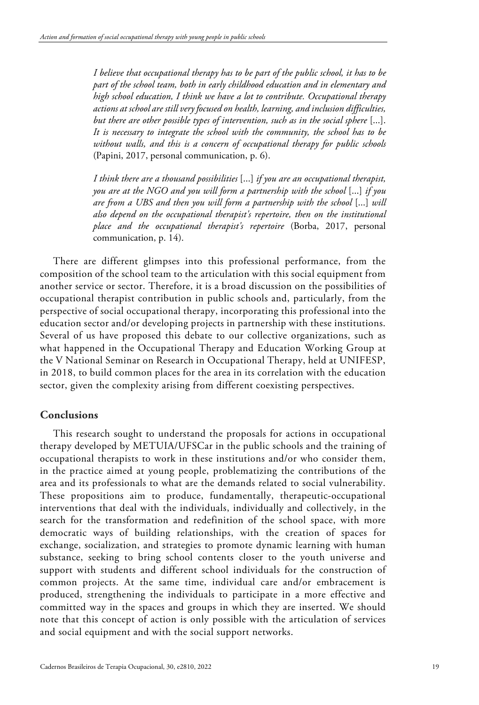*I believe that occupational therapy has to be part of the public school, it has to be part of the school team, both in early childhood education and in elementary and high school education, I think we have a lot to contribute. Occupational therapy actions at school are still very focused on health, learning, and inclusion difficulties, but there are other possible types of intervention, such as in the social sphere* [...]. *It is necessary to integrate the school with the community, the school has to be without walls, and this is a concern of occupational therapy for public schools* (Papini, 2017, personal communication, p. 6).

*I think there are a thousand possibilities* [...] *if you are an occupational therapist, you are at the NGO and you will form a partnership with the school* [...] *if you are from a UBS and then you will form a partnership with the school* [...] *will also depend on the occupational therapist's repertoire, then on the institutional place and the occupational therapist's repertoire* (Borba, 2017, personal communication, p. 14).

There are different glimpses into this professional performance, from the composition of the school team to the articulation with this social equipment from another service or sector. Therefore, it is a broad discussion on the possibilities of occupational therapist contribution in public schools and, particularly, from the perspective of social occupational therapy, incorporating this professional into the education sector and/or developing projects in partnership with these institutions. Several of us have proposed this debate to our collective organizations, such as what happened in the Occupational Therapy and Education Working Group at the V National Seminar on Research in Occupational Therapy, held at UNIFESP, in 2018, to build common places for the area in its correlation with the education sector, given the complexity arising from different coexisting perspectives.

# **Conclusions**

This research sought to understand the proposals for actions in occupational therapy developed by METUIA/UFSCar in the public schools and the training of occupational therapists to work in these institutions and/or who consider them, in the practice aimed at young people, problematizing the contributions of the area and its professionals to what are the demands related to social vulnerability. These propositions aim to produce, fundamentally, therapeutic-occupational interventions that deal with the individuals, individually and collectively, in the search for the transformation and redefinition of the school space, with more democratic ways of building relationships, with the creation of spaces for exchange, socialization, and strategies to promote dynamic learning with human substance, seeking to bring school contents closer to the youth universe and support with students and different school individuals for the construction of common projects. At the same time, individual care and/or embracement is produced, strengthening the individuals to participate in a more effective and committed way in the spaces and groups in which they are inserted. We should note that this concept of action is only possible with the articulation of services and social equipment and with the social support networks.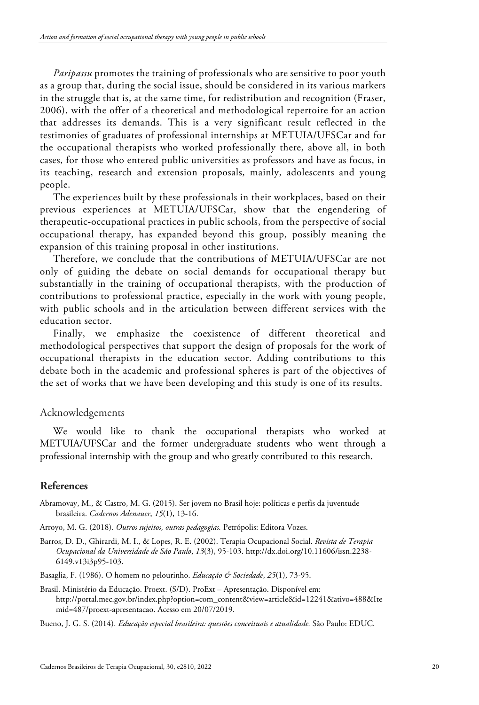*Paripassu* promotes the training of professionals who are sensitive to poor youth as a group that, during the social issue, should be considered in its various markers in the struggle that is, at the same time, for redistribution and recognition (Fraser, 2006), with the offer of a theoretical and methodological repertoire for an action that addresses its demands. This is a very significant result reflected in the testimonies of graduates of professional internships at METUIA/UFSCar and for the occupational therapists who worked professionally there, above all, in both cases, for those who entered public universities as professors and have as focus, in its teaching, research and extension proposals, mainly, adolescents and young people.

The experiences built by these professionals in their workplaces, based on their previous experiences at METUIA/UFSCar, show that the engendering of therapeutic-occupational practices in public schools, from the perspective of social occupational therapy, has expanded beyond this group, possibly meaning the expansion of this training proposal in other institutions.

Therefore, we conclude that the contributions of METUIA/UFSCar are not only of guiding the debate on social demands for occupational therapy but substantially in the training of occupational therapists, with the production of contributions to professional practice, especially in the work with young people, with public schools and in the articulation between different services with the education sector.

Finally, we emphasize the coexistence of different theoretical and methodological perspectives that support the design of proposals for the work of occupational therapists in the education sector. Adding contributions to this debate both in the academic and professional spheres is part of the objectives of the set of works that we have been developing and this study is one of its results.

## Acknowledgements

We would like to thank the occupational therapists who worked at METUIA/UFSCar and the former undergraduate students who went through a professional internship with the group and who greatly contributed to this research.

# **References**

- Abramovay, M., & Castro, M. G. (2015). Ser jovem no Brasil hoje: políticas e perfis da juventude brasileira. *Cadernos Adenauer*, *15*(1), 13-16.
- Arroyo, M. G. (2018). *Outros sujeitos, outras pedagogias.* Petrópolis: Editora Vozes.
- Barros, D. D., Ghirardi, M. I., & Lopes, R. E. (2002). Terapia Ocupacional Social. *Revista de Terapia Ocupacional da Universidade de São Paulo*, *13*(3), 95-103. http://dx.doi.org/10.11606/issn.2238- 6149.v13i3p95-103.

Basaglia, F. (1986). O homem no pelourinho. *Educação & Sociedade*, 25(1), 73-95.

Brasil. Ministério da Educação. Proext. (S/D). ProExt – Apresentação. Disponível em: [http://portal.mec.gov.br/index.php?option=com\\_content&view=article&id=12241&ativo=488&Ite](http://portal.mec.gov.br/index.php?option=com_content&view=article&id=12241&ativo=488&Itemid=487/proext-apresentacao) [mid=487/proext-apresentacao.](http://portal.mec.gov.br/index.php?option=com_content&view=article&id=12241&ativo=488&Itemid=487/proext-apresentacao) Acesso em 20/07/2019.

Bueno, J. G. S. (2014). *Educação especial brasileira: questões conceituais e atualidade.* São Paulo: EDUC.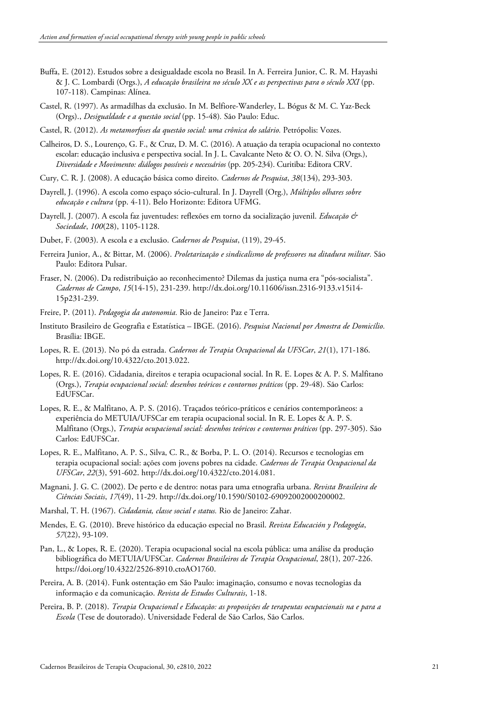- Buffa, E. (2012). Estudos sobre a desigualdade escola no Brasil. In A. Ferreira Junior, C. R. M. Hayashi & J. C. Lombardi (Orgs.), *A educação brasileira no século XX e as perspectivas para o século XXI* (pp. 107-118). Campinas: Alínea.
- Castel, R. (1997). As armadilhas da exclusão. In M. Belfiore-Wanderley, L. Bógus & M. C. Yaz-Beck (Orgs)., *Desigualdade e a questão social* (pp. 15-48)*.* São Paulo: Educ.
- Castel, R. (2012). *As metamorfoses da questão social: uma crônica do salário.* Petrópolis: Vozes.
- Calheiros, D. S., Lourenço, G. F., & Cruz, D. M. C. (2016). A atuação da terapia ocupacional no contexto escolar: educação inclusiva e perspectiva social. In J. L. Cavalcante Neto & O. O. N. Silva (Orgs.), *Diversidade e Movimento: diálogos possíveis e necessários* (pp. 205-234). Curitiba: Editora CRV.
- Cury, C. R. J. (2008). A educação básica como direito. *Cadernos de Pesquisa*, *38*(134), 293-303.
- Dayrell, J. (1996). A escola como espaço sócio-cultural. In J. Dayrell (Org.), *Múltiplos olhares sobre educação e cultura* (pp. 4-11). Belo Horizonte: Editora UFMG.
- Dayrell, J. (2007). A escola faz juventudes: reflexões em torno da socialização juvenil. *Educação & Sociedade*, *100*(28), 1105-1128.
- Dubet, F. (2003). A escola e a exclusão. *Cadernos de Pesquisa*, (119), 29-45.
- Ferreira Junior, A., & Bittar, M. (2006). *Proletarização e sindicalismo de professores na ditadura militar.* São Paulo: Editora Pulsar.
- Fraser, N. (2006). Da redistribuição ao reconhecimento? Dilemas da justiça numa era "pós-socialista". *Cadernos de Campo*, *15*(14-15), 231-239. http://dx.doi.org/10.11606/issn.2316-9133.v15i14- 15p231-239.
- Freire, P. (2011). *Pedagogia da autonomia.* Rio de Janeiro: Paz e Terra.
- Instituto Brasileiro de Geografia e Estatística IBGE. (2016). *Pesquisa Nacional por Amostra de Domicílio.* Brasília: IBGE.
- Lopes, R. E. (2013). No pó da estrada. *Cadernos de Terapia Ocupacional da UFSCar*, *21*(1), 171-186. http://dx.doi.org/10.4322/cto.2013.022.
- Lopes, R. E. (2016). Cidadania, direitos e terapia ocupacional social. In R. E. Lopes & A. P. S. Malfitano (Orgs.), *Terapia ocupacional social: desenhos teóricos e contornos práticos* (pp. 29-48). São Carlos: EdUFSCar.
- Lopes, R. E., & Malfitano, A. P. S. (2016). Traçados teórico-práticos e cenários contemporâneos: a experiência do METUIA/UFSCar em terapia ocupacional social. In R. E. Lopes & A. P. S. Malfitano (Orgs.), *Terapia ocupacional social: desenhos teóricos e contornos práticos* (pp. 297-305). São Carlos: EdUFSCar.
- Lopes, R. E., Malfitano, A. P. S., Silva, C. R., & Borba, P. L. O. (2014). Recursos e tecnologias em terapia ocupacional social: ações com jovens pobres na cidade. *Cadernos de Terapia Ocupacional da UFSCar*, *22*(3), 591-602. http://dx.doi.org/10.4322/cto.2014.081.
- Magnani, J. G. C. (2002). De perto e de dentro: notas para uma etnografia urbana. *Revista Brasileira de Ciências Sociais*, *17*(49), 11-29. http://dx.doi.org/10.1590/S0102-69092002000200002.
- Marshal, T. H. (1967). *Cidadania, classe social e status.* Rio de Janeiro: Zahar.
- Mendes, E. G. (2010). Breve histórico da educação especial no Brasil. *Revista Educación y Pedagogía*, *57*(22), 93-109.
- Pan, L., & Lopes, R. E. (2020). Terapia ocupacional social na escola pública: uma análise da produção bibliográfica do METUIA/UFSCar. *Cadernos Brasileiros de Terapia Ocupacional*, 28(1), 207-226. [https://doi.org/10.4322/2526-8910.ctoAO1760.](https://doi.org/10.4322/2526-8910.ctoAO1760)
- Pereira, A. B. (2014). Funk ostentação em São Paulo: imaginação, consumo e novas tecnologias da informação e da comunicação. *Revista de Estudos Culturais*, 1-18.
- Pereira, B. P. (2018). *Terapia Ocupacional e Educação: as proposições de terapeutas ocupacionais na e para a Escola* (Tese de doutorado). Universidade Federal de São Carlos, São Carlos.